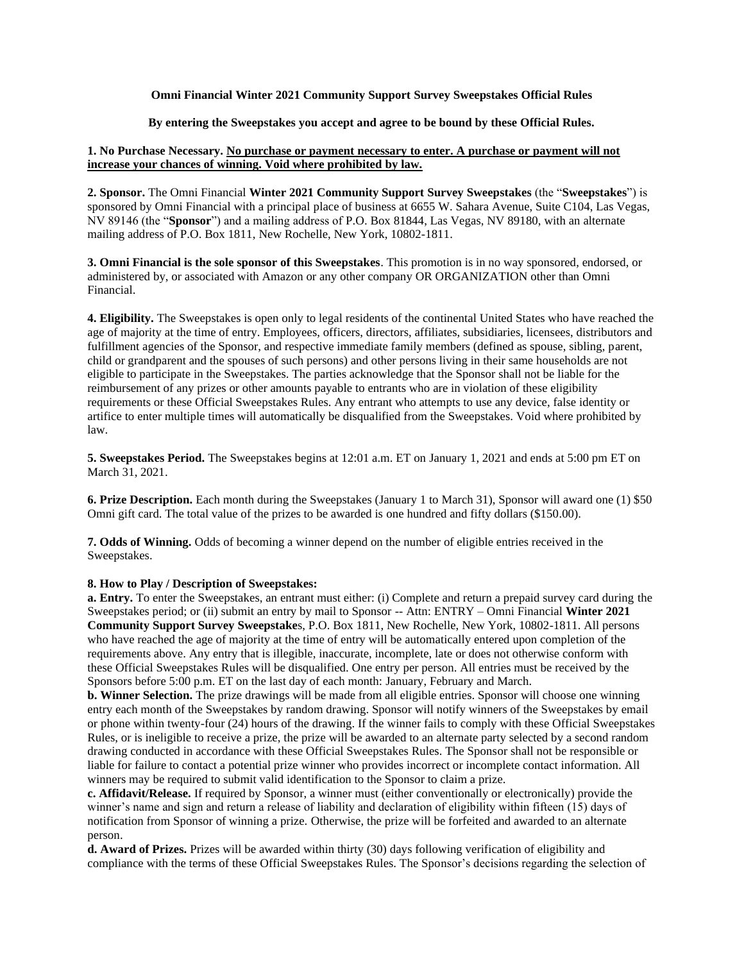**Omni Financial Winter 2021 Community Support Survey Sweepstakes Official Rules**

## **By entering the Sweepstakes you accept and agree to be bound by these Official Rules.**

## **1. No Purchase Necessary. No purchase or payment necessary to enter. A purchase or payment will not increase your chances of winning. Void where prohibited by law.**

**2. Sponsor.** The Omni Financial **Winter 2021 Community Support Survey Sweepstakes** (the "**Sweepstakes**") is sponsored by Omni Financial with a principal place of business at 6655 W. Sahara Avenue, Suite C104, Las Vegas, NV 89146 (the "**Sponsor**") and a mailing address of P.O. Box 81844, Las Vegas, NV 89180, with an alternate mailing address of P.O. Box 1811, New Rochelle, New York, 10802-1811.

**3. Omni Financial is the sole sponsor of this Sweepstakes**. This promotion is in no way sponsored, endorsed, or administered by, or associated with Amazon or any other company OR ORGANIZATION other than Omni Financial.

**4. Eligibility.** The Sweepstakes is open only to legal residents of the continental United States who have reached the age of majority at the time of entry. Employees, officers, directors, affiliates, subsidiaries, licensees, distributors and fulfillment agencies of the Sponsor, and respective immediate family members (defined as spouse, sibling, parent, child or grandparent and the spouses of such persons) and other persons living in their same households are not eligible to participate in the Sweepstakes. The parties acknowledge that the Sponsor shall not be liable for the reimbursement of any prizes or other amounts payable to entrants who are in violation of these eligibility requirements or these Official Sweepstakes Rules. Any entrant who attempts to use any device, false identity or artifice to enter multiple times will automatically be disqualified from the Sweepstakes. Void where prohibited by law.

**5. Sweepstakes Period.** The Sweepstakes begins at 12:01 a.m. ET on January 1, 2021 and ends at 5:00 pm ET on March 31, 2021.

**6. Prize Description.** Each month during the Sweepstakes (January 1 to March 31), Sponsor will award one (1) \$50 Omni gift card. The total value of the prizes to be awarded is one hundred and fifty dollars (\$150.00).

**7. Odds of Winning.** Odds of becoming a winner depend on the number of eligible entries received in the Sweepstakes.

## **8. How to Play / Description of Sweepstakes:**

**a. Entry.** To enter the Sweepstakes, an entrant must either: (i) Complete and return a prepaid survey card during the Sweepstakes period; or (ii) submit an entry by mail to Sponsor -- Attn: ENTRY – Omni Financial **Winter 2021 Community Support Survey Sweepstake**s, P.O. Box 1811, New Rochelle, New York, 10802-1811. All persons who have reached the age of majority at the time of entry will be automatically entered upon completion of the requirements above. Any entry that is illegible, inaccurate, incomplete, late or does not otherwise conform with these Official Sweepstakes Rules will be disqualified. One entry per person. All entries must be received by the Sponsors before 5:00 p.m. ET on the last day of each month: January, February and March.

**b. Winner Selection.** The prize drawings will be made from all eligible entries. Sponsor will choose one winning entry each month of the Sweepstakes by random drawing. Sponsor will notify winners of the Sweepstakes by email or phone within twenty-four (24) hours of the drawing. If the winner fails to comply with these Official Sweepstakes Rules, or is ineligible to receive a prize, the prize will be awarded to an alternate party selected by a second random drawing conducted in accordance with these Official Sweepstakes Rules. The Sponsor shall not be responsible or liable for failure to contact a potential prize winner who provides incorrect or incomplete contact information. All winners may be required to submit valid identification to the Sponsor to claim a prize.

**c. Affidavit/Release.** If required by Sponsor, a winner must (either conventionally or electronically) provide the winner's name and sign and return a release of liability and declaration of eligibility within fifteen (15) days of notification from Sponsor of winning a prize. Otherwise, the prize will be forfeited and awarded to an alternate person.

**d. Award of Prizes.** Prizes will be awarded within thirty (30) days following verification of eligibility and compliance with the terms of these Official Sweepstakes Rules. The Sponsor's decisions regarding the selection of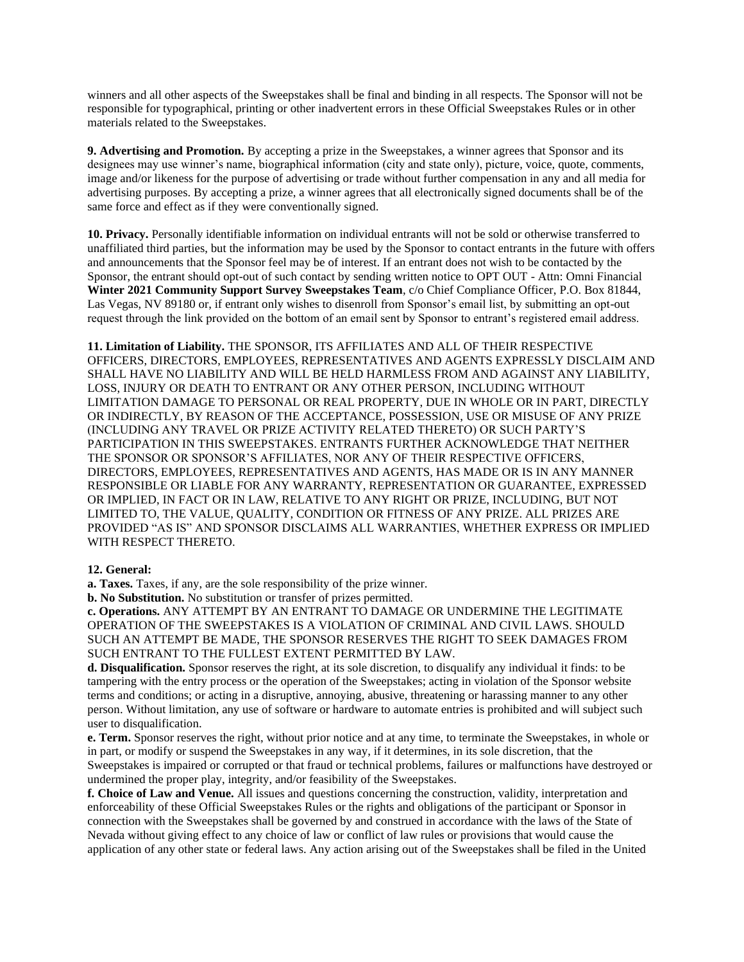winners and all other aspects of the Sweepstakes shall be final and binding in all respects. The Sponsor will not be responsible for typographical, printing or other inadvertent errors in these Official Sweepstakes Rules or in other materials related to the Sweepstakes.

**9. Advertising and Promotion.** By accepting a prize in the Sweepstakes, a winner agrees that Sponsor and its designees may use winner's name, biographical information (city and state only), picture, voice, quote, comments, image and/or likeness for the purpose of advertising or trade without further compensation in any and all media for advertising purposes. By accepting a prize, a winner agrees that all electronically signed documents shall be of the same force and effect as if they were conventionally signed.

**10. Privacy.** Personally identifiable information on individual entrants will not be sold or otherwise transferred to unaffiliated third parties, but the information may be used by the Sponsor to contact entrants in the future with offers and announcements that the Sponsor feel may be of interest. If an entrant does not wish to be contacted by the Sponsor, the entrant should opt-out of such contact by sending written notice to OPT OUT - Attn: Omni Financial **Winter 2021 Community Support Survey Sweepstakes Team**, c/o Chief Compliance Officer, P.O. Box 81844, Las Vegas, NV 89180 or, if entrant only wishes to disenroll from Sponsor's email list, by submitting an opt-out request through the link provided on the bottom of an email sent by Sponsor to entrant's registered email address.

**11. Limitation of Liability.** THE SPONSOR, ITS AFFILIATES AND ALL OF THEIR RESPECTIVE OFFICERS, DIRECTORS, EMPLOYEES, REPRESENTATIVES AND AGENTS EXPRESSLY DISCLAIM AND SHALL HAVE NO LIABILITY AND WILL BE HELD HARMLESS FROM AND AGAINST ANY LIABILITY, LOSS, INJURY OR DEATH TO ENTRANT OR ANY OTHER PERSON, INCLUDING WITHOUT LIMITATION DAMAGE TO PERSONAL OR REAL PROPERTY, DUE IN WHOLE OR IN PART, DIRECTLY OR INDIRECTLY, BY REASON OF THE ACCEPTANCE, POSSESSION, USE OR MISUSE OF ANY PRIZE (INCLUDING ANY TRAVEL OR PRIZE ACTIVITY RELATED THERETO) OR SUCH PARTY'S PARTICIPATION IN THIS SWEEPSTAKES. ENTRANTS FURTHER ACKNOWLEDGE THAT NEITHER THE SPONSOR OR SPONSOR'S AFFILIATES, NOR ANY OF THEIR RESPECTIVE OFFICERS, DIRECTORS, EMPLOYEES, REPRESENTATIVES AND AGENTS, HAS MADE OR IS IN ANY MANNER RESPONSIBLE OR LIABLE FOR ANY WARRANTY, REPRESENTATION OR GUARANTEE, EXPRESSED OR IMPLIED, IN FACT OR IN LAW, RELATIVE TO ANY RIGHT OR PRIZE, INCLUDING, BUT NOT LIMITED TO, THE VALUE, QUALITY, CONDITION OR FITNESS OF ANY PRIZE. ALL PRIZES ARE PROVIDED "AS IS" AND SPONSOR DISCLAIMS ALL WARRANTIES, WHETHER EXPRESS OR IMPLIED WITH RESPECT THERETO.

## **12. General:**

**a. Taxes.** Taxes, if any, are the sole responsibility of the prize winner.

**b. No Substitution.** No substitution or transfer of prizes permitted.

**c. Operations.** ANY ATTEMPT BY AN ENTRANT TO DAMAGE OR UNDERMINE THE LEGITIMATE OPERATION OF THE SWEEPSTAKES IS A VIOLATION OF CRIMINAL AND CIVIL LAWS. SHOULD SUCH AN ATTEMPT BE MADE, THE SPONSOR RESERVES THE RIGHT TO SEEK DAMAGES FROM SUCH ENTRANT TO THE FULLEST EXTENT PERMITTED BY LAW.

**d. Disqualification.** Sponsor reserves the right, at its sole discretion, to disqualify any individual it finds: to be tampering with the entry process or the operation of the Sweepstakes; acting in violation of the Sponsor website terms and conditions; or acting in a disruptive, annoying, abusive, threatening or harassing manner to any other person. Without limitation, any use of software or hardware to automate entries is prohibited and will subject such user to disqualification.

**e. Term.** Sponsor reserves the right, without prior notice and at any time, to terminate the Sweepstakes, in whole or in part, or modify or suspend the Sweepstakes in any way, if it determines, in its sole discretion, that the Sweepstakes is impaired or corrupted or that fraud or technical problems, failures or malfunctions have destroyed or undermined the proper play, integrity, and/or feasibility of the Sweepstakes.

**f. Choice of Law and Venue.** All issues and questions concerning the construction, validity, interpretation and enforceability of these Official Sweepstakes Rules or the rights and obligations of the participant or Sponsor in connection with the Sweepstakes shall be governed by and construed in accordance with the laws of the State of Nevada without giving effect to any choice of law or conflict of law rules or provisions that would cause the application of any other state or federal laws. Any action arising out of the Sweepstakes shall be filed in the United